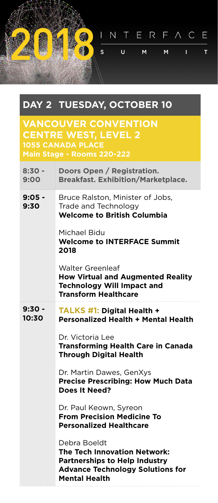INTERFACE 编  $\mathsf{s}$ Ū.  $M$ M.  $\mathbf{L}$  $\mathsf{T}$ 

## **DAY 2 TUESDAY, OCTOBER 10**

**VANCOUVER CONVENTION CENTRE WEST, LEVEL 2 1055 CANADA PLACE Main Stage - Rooms 220-222**

| $8:30 -$<br>9:00  | Doors Open / Registration.<br><b>Breakfast. Exhibition/Marketplace.</b>                                                                                        |
|-------------------|----------------------------------------------------------------------------------------------------------------------------------------------------------------|
| $9:05 -$<br>9:30  | Bruce Ralston, Minister of Jobs,<br>Trade and Technology<br><b>Welcome to British Columbia</b>                                                                 |
|                   | Michael Bidu<br><b>Welcome to INTERFACE Summit</b><br>2018                                                                                                     |
|                   | Walter Greenleaf<br><b>How Virtual and Augmented Reality</b><br><b>Technology Will Impact and</b><br><b>Transform Healthcare</b>                               |
| $9:30 -$<br>10:30 | <b>TALKS #1: Digital Health +</b><br><b>Personalized Health + Mental Health</b>                                                                                |
|                   | Dr. Victoria Lee<br><b>Transforming Health Care in Canada</b><br><b>Through Digital Health</b>                                                                 |
|                   | Dr. Martin Dawes, GenXys<br><b>Precise Prescribing: How Much Data</b><br>Does It Need?                                                                         |
|                   | Dr. Paul Keown, Syreon<br><b>From Precision Medicine To</b><br><b>Personalized Healthcare</b>                                                                  |
|                   | Debra Boeldt<br><b>The Tech Innovation Network:</b><br><b>Partnerships to Help Industry</b><br><b>Advance Technology Solutions for</b><br><b>Mental Health</b> |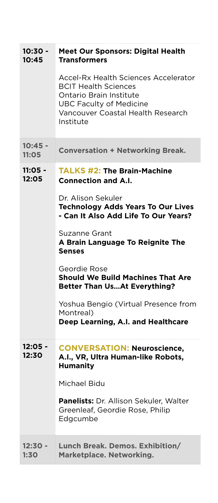| $10:30 -$<br>10:45 | <b>Meet Our Sponsors: Digital Health</b><br><b>Transformers</b>                                                                                                                    |
|--------------------|------------------------------------------------------------------------------------------------------------------------------------------------------------------------------------|
|                    | Accel-Rx Health Sciences Accelerator<br><b>BCIT Health Sciences</b><br>Ontario Brain Institute<br><b>UBC Faculty of Medicine</b><br>Vancouver Coastal Health Research<br>Institute |
| 10:45 -<br>11:05   | <b>Conversation + Networking Break.</b>                                                                                                                                            |
| 11:05 -<br>12:05   | <b>TALKS #2: The Brain-Machine</b><br><b>Connection and A.I.</b>                                                                                                                   |
|                    | Dr. Alison Sekuler<br><b>Technology Adds Years To Our Lives</b><br>- Can It Also Add Life To Our Years?                                                                            |
|                    | Suzanne Grant<br>A Brain Language To Reignite The<br><b>Senses</b>                                                                                                                 |
|                    | Geordie Rose<br><b>Should We Build Machines That Are</b><br><b>Better Than UsAt Everything?</b>                                                                                    |
|                    | Yoshua Bengio (Virtual Presence from<br>Montreal)<br>Deep Learning, A.I. and Healthcare                                                                                            |
| 12:05 -<br>12:30   | <b>CONVERSATION: Neuroscience,</b><br>A.I., VR, Ultra Human-like Robots,<br><b>Humanity</b>                                                                                        |
|                    | Michael Bidu                                                                                                                                                                       |
|                    | Panelists: Dr. Allison Sekuler, Walter<br>Greenleaf, Geordie Rose, Philip<br>Edgcumbe                                                                                              |
| $12:30 -$<br>1:30  | Lunch Break. Demos. Exhibition/<br>Marketplace. Networking.                                                                                                                        |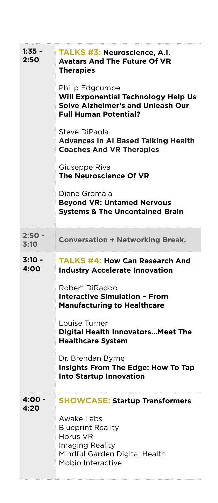| 1:35 -<br>2:50   | TALKS #3: Neuroscience, A.I.<br><b>Avatars And The Future Of VR</b><br><b>Therapies</b>                                            |
|------------------|------------------------------------------------------------------------------------------------------------------------------------|
|                  | Philip Edgcumbe<br>Will Exponential Technology Help Us<br><b>Solve Alzheimer's and Unleash Our</b><br><b>Full Human Potential?</b> |
|                  | Steve DiPaola<br><b>Advances In AI Based Talking Health</b><br><b>Coaches And VR Therapies</b>                                     |
|                  | Giuseppe Riva<br>The Neuroscience Of VR                                                                                            |
|                  | Diane Gromala<br><b>Beyond VR: Untamed Nervous</b><br><b>Systems &amp; The Uncontained Brain</b>                                   |
| $2:50 -$<br>3:10 | <b>Conversation + Networking Break.</b>                                                                                            |
| 3:10 -<br>4:00   | <b>TALKS #4: How Can Research And</b><br><b>Industry Accelerate Innovation</b>                                                     |
|                  | Robert DiRaddo<br><b>Interactive Simulation - From</b><br><b>Manufacturing to Healthcare</b>                                       |
|                  | Louise Turner<br><b>Digital Health Innovators Meet The</b><br><b>Healthcare System</b>                                             |
|                  | Dr. Brendan Byrne<br>Insights From The Edge: How To Tap<br><b>Into Startup Innovation</b>                                          |
| 4:00 -<br>4:20   | <b>SHOWCASE: Startup Transformers</b>                                                                                              |
|                  | Awake Labs<br><b>Blueprint Reality</b><br>Horus VR<br>Imaging Reality<br>Mindful Garden Digital Health<br>Mobio Interactive        |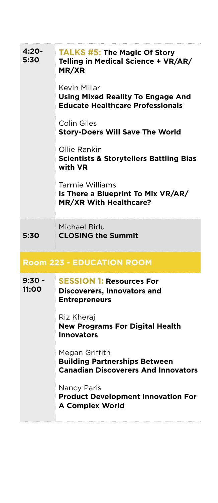| 4:20-<br>5:30                    | <b>TALKS #5: The Magic Of Story</b><br>Telling in Medical Science + VR/AR/<br>MR/XR                  |  |
|----------------------------------|------------------------------------------------------------------------------------------------------|--|
|                                  | Kevin Millar<br><b>Using Mixed Reality To Engage And</b><br><b>Educate Healthcare Professionals</b>  |  |
|                                  | Colin Giles<br><b>Story-Doers Will Save The World</b>                                                |  |
|                                  | Ollie Rankin<br><b>Scientists &amp; Storytellers Battling Bias</b><br>with VR                        |  |
|                                  | Tarrnie Williams<br>Is There a Blueprint To Mix VR/AR/<br><b>MR/XR With Healthcare?</b>              |  |
| 5:30                             | Michael Bidu<br><b>CLOSING the Summit</b>                                                            |  |
| <b>Room 223 - EDUCATION ROOM</b> |                                                                                                      |  |
| $9:30 -$<br>11:00                | <b>SESSION 1: Resources For</b><br><b>Discoverers, Innovators and</b><br><b>Entrepreneurs</b>        |  |
|                                  | Riz Kheraj<br><b>New Programs For Digital Health</b><br><b>Innovators</b>                            |  |
|                                  | Megan Griffith<br><b>Building Partnerships Between</b><br><b>Canadian Discoverers And Innovators</b> |  |
|                                  | Nancy Paris<br><b>Product Development Innovation For</b><br><b>A Complex World</b>                   |  |
|                                  |                                                                                                      |  |